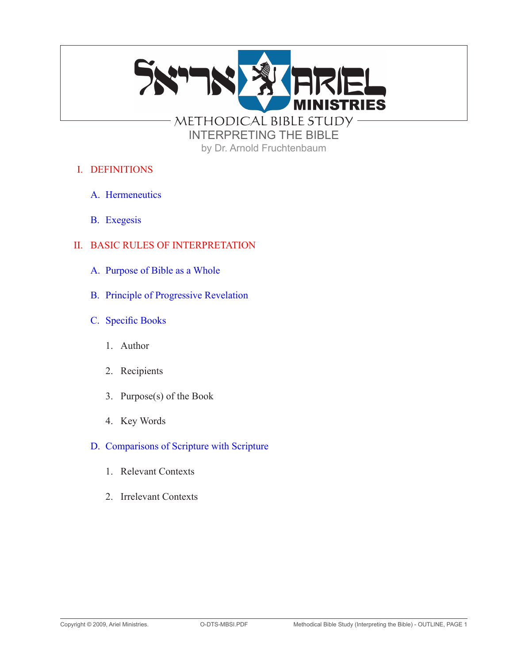

by Dr. Arnold Fruchtenbaum

- I. DEFINITIONS
	- A. Hermeneutics
	- B. Exegesis

# II. BASIC RULES OF INTERPRETATION

- A. Purpose of Bible as a Whole
- B. Principle of Progressive Revelation
- C. Specific Books
	- 1. Author
	- 2. Recipients
	- 3. Purpose(s) of the Book
	- 4. Key Words
- D. Comparisons of Scripture with Scripture
	- 1. Relevant Contexts
	- 2. Irrelevant Contexts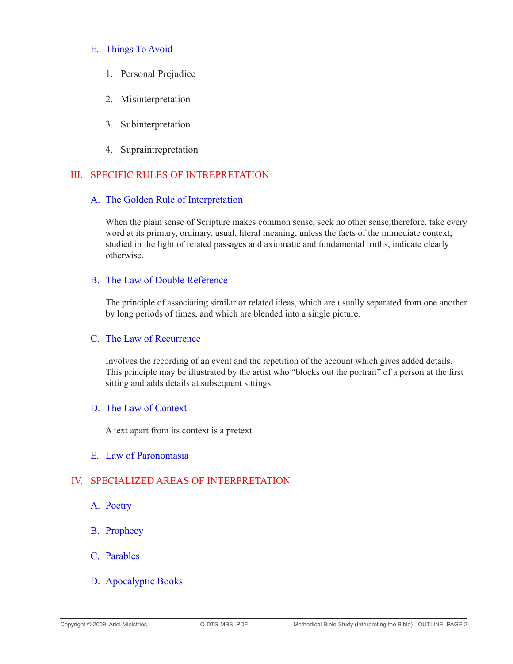### E. Things To Avoid

- 1. Personal Prejudice
- 2. Misinterpretation
- 3. Subinterpretation
- 4. Supraintrepretation

## III. SPECIFIC RULES OF INTREPRETATION

### A. The Golden Rule of Interpretation

When the plain sense of Scripture makes common sense, seek no other sense;therefore, take every word at its primary, ordinary, usual, literal meaning, unless the facts of the immediate context, studied in the light of related passages and axiomatic and fundamental truths, indicate clearly otherwise.

### B. The Law of Double Reference

The principle of associating similar or related ideas, which are usually separated from one another by long periods of times, and which are blended into a single picture.

### C. The Law of Recurrence

Involves the recording of an event and the repetition of the account which gives added details. This principle may be illustrated by the artist who "blocks out the portrait" of a person at the first sitting and adds details at subsequent sittings.

### D. The Law of Context

A text apart from its context is a pretext.

#### E. Law of Paronomasia

## IV. SPECIALIZED AREAS OF INTERPRETATION

- A. Poetry
- B. Prophecy
- C. Parables
- D. Apocalyptic Books